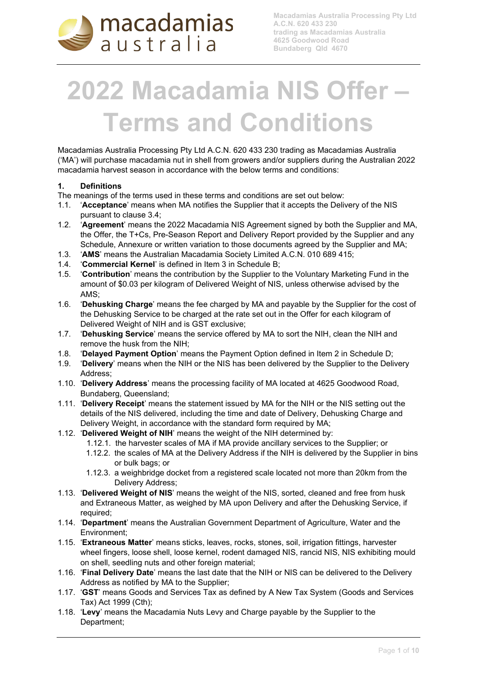

**Macadamias Australia Processing Pty Ltd A.C.N. 620 433 230 trading as Macadamias Australia 4625 Goodwood Road Bundaberg Qld 4670**

# **2022 Macadamia NIS Offer – Terms and Conditions**

Macadamias Australia Processing Pty Ltd A.C.N. 620 433 230 trading as Macadamias Australia ('MA') will purchase macadamia nut in shell from growers and/or suppliers during the Australian 2022 macadamia harvest season in accordance with the below terms and conditions:

#### **1. Definitions**

- The meanings of the terms used in these terms and conditions are set out below:
- 1.1. '**Acceptance**' means when MA notifies the Supplier that it accepts the Delivery of the NIS pursuant to clause 3.4;
- 1.2. '**Agreement**' means the 2022 Macadamia NIS Agreement signed by both the Supplier and MA, the Offer, the T+Cs, Pre-Season Report and Delivery Report provided by the Supplier and any Schedule, Annexure or written variation to those documents agreed by the Supplier and MA;
- 1.3. '**AMS**' means the Australian Macadamia Society Limited A.C.N. 010 689 415;
- 1.4. '**Commercial Kernel**' is defined in Item 3 in Schedule B;
- 1.5. '**Contribution**' means the contribution by the Supplier to the Voluntary Marketing Fund in the amount of \$0.03 per kilogram of Delivered Weight of NIS, unless otherwise advised by the AMS;
- 1.6. '**Dehusking Charge**' means the fee charged by MA and payable by the Supplier for the cost of the Dehusking Service to be charged at the rate set out in the Offer for each kilogram of Delivered Weight of NIH and is GST exclusive;
- 1.7. '**Dehusking Service**' means the service offered by MA to sort the NIH, clean the NIH and remove the husk from the NIH;
- 1.8. '**Delayed Payment Option**' means the Payment Option defined in Item 2 in Schedule D;
- 1.9. '**Delivery**' means when the NIH or the NIS has been delivered by the Supplier to the Delivery Address;
- 1.10. '**Delivery Address**' means the processing facility of MA located at 4625 Goodwood Road, Bundaberg, Queensland;
- 1.11. '**Delivery Receipt**' means the statement issued by MA for the NIH or the NIS setting out the details of the NIS delivered, including the time and date of Delivery, Dehusking Charge and Delivery Weight, in accordance with the standard form required by MA;
- 1.12. '**Delivered Weight of NIH**' means the weight of the NIH determined by:
	- 1.12.1. the harvester scales of MA if MA provide ancillary services to the Supplier; or
	- 1.12.2. the scales of MA at the Delivery Address if the NIH is delivered by the Supplier in bins or bulk bags; or
	- 1.12.3. a weighbridge docket from a registered scale located not more than 20km from the Delivery Address;
- 1.13. '**Delivered Weight of NIS**' means the weight of the NIS, sorted, cleaned and free from husk and Extraneous Matter, as weighed by MA upon Delivery and after the Dehusking Service, if required;
- 1.14. '**Department**' means the Australian Government Department of Agriculture, Water and the Environment;
- 1.15. '**Extraneous Matter**' means sticks, leaves, rocks, stones, soil, irrigation fittings, harvester wheel fingers, loose shell, loose kernel, rodent damaged NIS, rancid NIS, NIS exhibiting mould on shell, seedling nuts and other foreign material;
- 1.16. '**Final Delivery Date**' means the last date that the NIH or NIS can be delivered to the Delivery Address as notified by MA to the Supplier;
- 1.17. '**GST**' means Goods and Services Tax as defined by A New Tax System (Goods and Services Tax) Act 1999 (Cth);
- 1.18. '**Levy**' means the Macadamia Nuts Levy and Charge payable by the Supplier to the Department;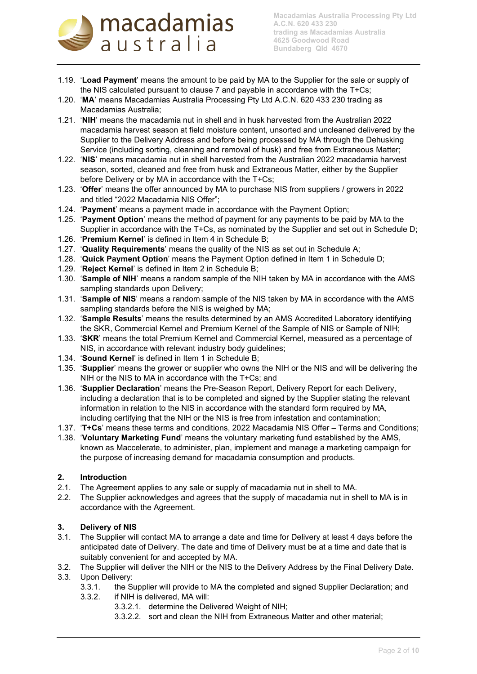

- 1.19. '**Load Payment**' means the amount to be paid by MA to the Supplier for the sale or supply of the NIS calculated pursuant to clause 7 and payable in accordance with the T+Cs;
- 1.20. '**MA**' means Macadamias Australia Processing Pty Ltd A.C.N. 620 433 230 trading as Macadamias Australia;
- 1.21. '**NIH**' means the macadamia nut in shell and in husk harvested from the Australian 2022 macadamia harvest season at field moisture content, unsorted and uncleaned delivered by the Supplier to the Delivery Address and before being processed by MA through the Dehusking Service (including sorting, cleaning and removal of husk) and free from Extraneous Matter;
- 1.22. '**NIS**' means macadamia nut in shell harvested from the Australian 2022 macadamia harvest season, sorted, cleaned and free from husk and Extraneous Matter, either by the Supplier before Delivery or by MA in accordance with the T+Cs;
- 1.23. '**Offer**' means the offer announced by MA to purchase NIS from suppliers / growers in 2022 and titled "2022 Macadamia NIS Offer";
- 1.24. '**Payment**' means a payment made in accordance with the Payment Option;
- 1.25. '**Payment Option**' means the method of payment for any payments to be paid by MA to the Supplier in accordance with the T+Cs, as nominated by the Supplier and set out in Schedule D;
- 1.26. '**Premium Kernel**' is defined in Item 4 in Schedule B;
- 1.27. '**Quality Requirements**' means the quality of the NIS as set out in Schedule A;
- 1.28. '**Quick Payment Option**' means the Payment Option defined in Item 1 in Schedule D;
- 1.29. '**Reject Kernel**' is defined in Item 2 in Schedule B;
- 1.30. '**Sample of NIH**' means a random sample of the NIH taken by MA in accordance with the AMS sampling standards upon Delivery;
- 1.31. '**Sample of NIS**' means a random sample of the NIS taken by MA in accordance with the AMS sampling standards before the NIS is weighed by MA;
- 1.32. '**Sample Results**' means the results determined by an AMS Accredited Laboratory identifying the SKR, Commercial Kernel and Premium Kernel of the Sample of NIS or Sample of NIH;
- 1.33. '**SKR**' means the total Premium Kernel and Commercial Kernel, measured as a percentage of NIS, in accordance with relevant industry body guidelines;
- 1.34. '**Sound Kernel**' is defined in Item 1 in Schedule B;
- 1.35. '**Supplier**' means the grower or supplier who owns the NIH or the NIS and will be delivering the NIH or the NIS to MA in accordance with the T+Cs; and
- 1.36. '**Supplier Declaration**' means the Pre-Season Report, Delivery Report for each Delivery, including a declaration that is to be completed and signed by the Supplier stating the relevant information in relation to the NIS in accordance with the standard form required by MA, including certifying that the NIH or the NIS is free from infestation and contamination;
- 1.37. '**T+Cs**' means these terms and conditions, 2022 Macadamia NIS Offer Terms and Conditions;
- 1.38. '**Voluntary Marketing Fund**' means the voluntary marketing fund established by the AMS, known as Maccelerate, to administer, plan, implement and manage a marketing campaign for the purpose of increasing demand for macadamia consumption and products.

#### **2. Introduction**

- 2.1. The Agreement applies to any sale or supply of macadamia nut in shell to MA.
- 2.2. The Supplier acknowledges and agrees that the supply of macadamia nut in shell to MA is in accordance with the Agreement.

#### **3. Delivery of NIS**

- 3.1. The Supplier will contact MA to arrange a date and time for Delivery at least 4 days before the anticipated date of Delivery. The date and time of Delivery must be at a time and date that is suitably convenient for and accepted by MA.
- 3.2. The Supplier will deliver the NIH or the NIS to the Delivery Address by the Final Delivery Date.
- 3.3. Upon Delivery:
	- 3.3.1. the Supplier will provide to MA the completed and signed Supplier Declaration; and
	- 3.3.2. if NIH is delivered, MA will:
		- 3.3.2.1. determine the Delivered Weight of NIH;
		- 3.3.2.2. sort and clean the NIH from Extraneous Matter and other material;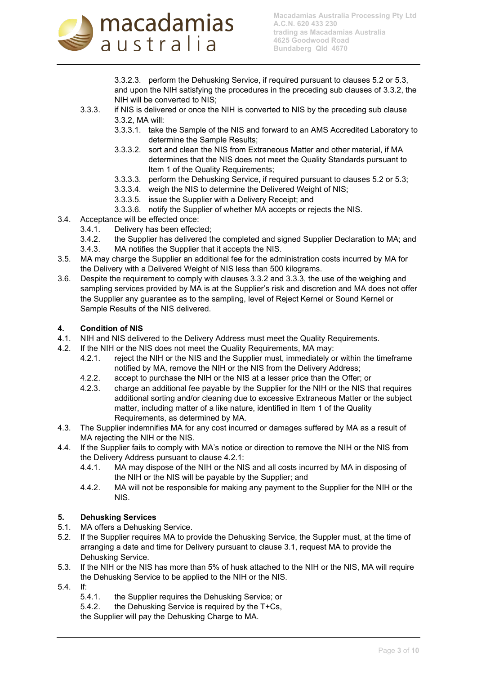

3.3.2.3. perform the Dehusking Service, if required pursuant to clauses 5.2 or 5.3, and upon the NIH satisfying the procedures in the preceding sub clauses of 3.3.2, the NIH will be converted to NIS;

- 3.3.3. if NIS is delivered or once the NIH is converted to NIS by the preceding sub clause 3.3.2, MA will:
	- 3.3.3.1. take the Sample of the NIS and forward to an AMS Accredited Laboratory to determine the Sample Results;
	- 3.3.3.2. sort and clean the NIS from Extraneous Matter and other material, if MA determines that the NIS does not meet the Quality Standards pursuant to Item 1 of the Quality Requirements;
	- 3.3.3.3. perform the Dehusking Service, if required pursuant to clauses 5.2 or 5.3;
	- 3.3.3.4. weigh the NIS to determine the Delivered Weight of NIS;
	- 3.3.3.5. issue the Supplier with a Delivery Receipt; and
	- 3.3.3.6. notify the Supplier of whether MA accepts or rejects the NIS.
- 3.4. Acceptance will be effected once:
	- 3.4.1. Delivery has been effected;
	- 3.4.2. the Supplier has delivered the completed and signed Supplier Declaration to MA; and
	- 3.4.3. MA notifies the Supplier that it accepts the NIS.
- 3.5. MA may charge the Supplier an additional fee for the administration costs incurred by MA for the Delivery with a Delivered Weight of NIS less than 500 kilograms.
- 3.6. Despite the requirement to comply with clauses 3.3.2 and 3.3.3, the use of the weighing and sampling services provided by MA is at the Supplier's risk and discretion and MA does not offer the Supplier any guarantee as to the sampling, level of Reject Kernel or Sound Kernel or Sample Results of the NIS delivered.

#### **4. Condition of NIS**

- 4.1. NIH and NIS delivered to the Delivery Address must meet the Quality Requirements.
- 4.2. If the NIH or the NIS does not meet the Quality Requirements, MA may:
	- 4.2.1. reject the NIH or the NIS and the Supplier must, immediately or within the timeframe notified by MA, remove the NIH or the NIS from the Delivery Address;
	- 4.2.2. accept to purchase the NIH or the NIS at a lesser price than the Offer; or
	- 4.2.3. charge an additional fee payable by the Supplier for the NIH or the NIS that requires additional sorting and/or cleaning due to excessive Extraneous Matter or the subject matter, including matter of a like nature, identified in Item 1 of the Quality Requirements, as determined by MA.
- 4.3. The Supplier indemnifies MA for any cost incurred or damages suffered by MA as a result of MA rejecting the NIH or the NIS.
- 4.4. If the Supplier fails to comply with MA's notice or direction to remove the NIH or the NIS from the Delivery Address pursuant to clause 4.2.1:
	- 4.4.1. MA may dispose of the NIH or the NIS and all costs incurred by MA in disposing of the NIH or the NIS will be payable by the Supplier; and
	- 4.4.2. MA will not be responsible for making any payment to the Supplier for the NIH or the NIS.

#### **5. Dehusking Services**

- 5.1. MA offers a Dehusking Service.
- 5.2. If the Supplier requires MA to provide the Dehusking Service, the Suppler must, at the time of arranging a date and time for Delivery pursuant to clause 3.1, request MA to provide the Dehusking Service.
- 5.3. If the NIH or the NIS has more than 5% of husk attached to the NIH or the NIS, MA will require the Dehusking Service to be applied to the NIH or the NIS.
- 5.4. If:
	- 5.4.1. the Supplier requires the Dehusking Service; or
	- 5.4.2. the Dehusking Service is required by the T+Cs,
	- the Supplier will pay the Dehusking Charge to MA.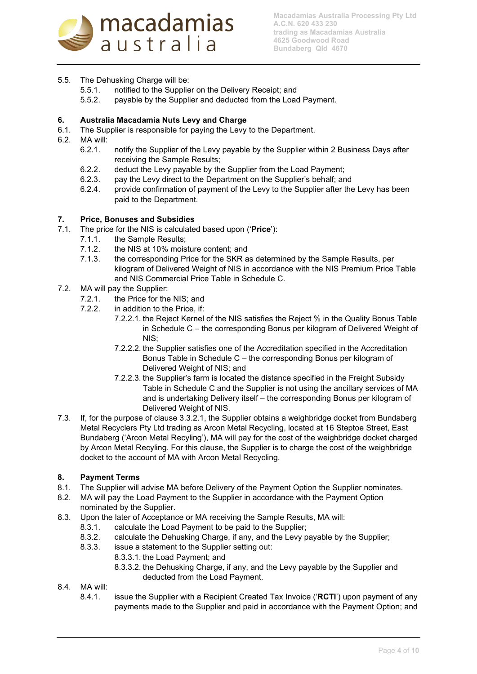

## 5.5. The Dehusking Charge will be:

- 5.5.1. notified to the Supplier on the Delivery Receipt; and
- 5.5.2. payable by the Supplier and deducted from the Load Payment.

#### **6. Australia Macadamia Nuts Levy and Charge**

- 6.1. The Supplier is responsible for paying the Levy to the Department.
- 6.2. MA will:
	- 6.2.1. notify the Supplier of the Levy payable by the Supplier within 2 Business Days after receiving the Sample Results;
	- 6.2.2. deduct the Levy payable by the Supplier from the Load Payment;
	- 6.2.3. pay the Levy direct to the Department on the Supplier's behalf; and
	- 6.2.4. provide confirmation of payment of the Levy to the Supplier after the Levy has been paid to the Department.

#### **7. Price, Bonuses and Subsidies**

- 7.1. The price for the NIS is calculated based upon ('**Price**'):
	- 7.1.1. the Sample Results;
	- 7.1.2. the NIS at 10% moisture content; and
	- 7.1.3. the corresponding Price for the SKR as determined by the Sample Results, per kilogram of Delivered Weight of NIS in accordance with the NIS Premium Price Table and NIS Commercial Price Table in Schedule C.
- 7.2. MA will pay the Supplier:
	- 7.2.1. the Price for the NIS; and
	- 7.2.2. in addition to the Price, if:
		- 7.2.2.1. the Reject Kernel of the NIS satisfies the Reject % in the Quality Bonus Table in Schedule C – the corresponding Bonus per kilogram of Delivered Weight of NIS;
		- 7.2.2.2. the Supplier satisfies one of the Accreditation specified in the Accreditation Bonus Table in Schedule C – the corresponding Bonus per kilogram of Delivered Weight of NIS; and
		- 7.2.2.3. the Supplier's farm is located the distance specified in the Freight Subsidy Table in Schedule C and the Supplier is not using the ancillary services of MA and is undertaking Delivery itself – the corresponding Bonus per kilogram of Delivered Weight of NIS.
- 7.3. If, for the purpose of clause 3.3.2.1, the Supplier obtains a weighbridge docket from Bundaberg Metal Recyclers Pty Ltd trading as Arcon Metal Recycling, located at 16 Steptoe Street, East Bundaberg ('Arcon Metal Recyling'), MA will pay for the cost of the weighbridge docket charged by Arcon Metal Recyling. For this clause, the Supplier is to charge the cost of the weighbridge docket to the account of MA with Arcon Metal Recycling.

## **8. Payment Terms**

- 8.1. The Supplier will advise MA before Delivery of the Payment Option the Supplier nominates.
- 8.2. MA will pay the Load Payment to the Supplier in accordance with the Payment Option nominated by the Supplier.
- 8.3. Upon the later of Acceptance or MA receiving the Sample Results, MA will:
	- 8.3.1. calculate the Load Payment to be paid to the Supplier;
		- 8.3.2. calculate the Dehusking Charge, if any, and the Levy payable by the Supplier;
		- 8.3.3. issue a statement to the Supplier setting out:
			- 8.3.3.1. the Load Payment; and
				- 8.3.3.2. the Dehusking Charge, if any, and the Levy payable by the Supplier and deducted from the Load Payment.
- 8.4. MA will:
	- 8.4.1. issue the Supplier with a Recipient Created Tax Invoice ('**RCTI**') upon payment of any payments made to the Supplier and paid in accordance with the Payment Option; and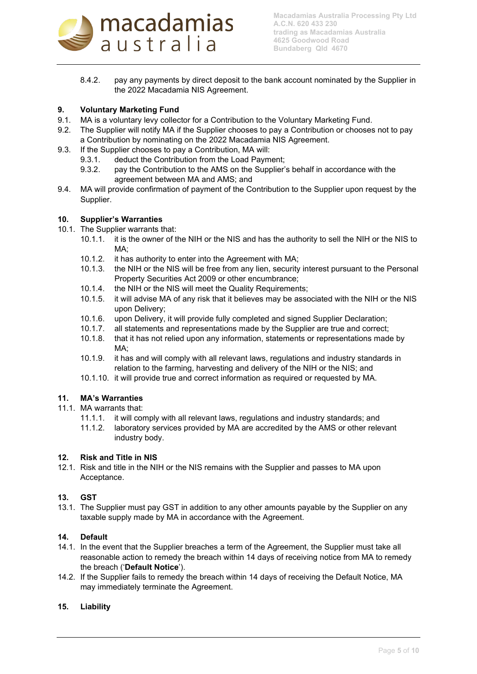

8.4.2. pay any payments by direct deposit to the bank account nominated by the Supplier in the 2022 Macadamia NIS Agreement.

# **9. Voluntary Marketing Fund**<br>**9.1** MA is a voluntary levy collection

- MA is a voluntary levy collector for a Contribution to the Voluntary Marketing Fund.
- 9.2. The Supplier will notify MA if the Supplier chooses to pay a Contribution or chooses not to pay a Contribution by nominating on the 2022 Macadamia NIS Agreement.
- 9.3. If the Supplier chooses to pay a Contribution, MA will:
	- 9.3.1. deduct the Contribution from the Load Payment;
	- 9.3.2. pay the Contribution to the AMS on the Supplier's behalf in accordance with the agreement between MA and AMS; and
- 9.4. MA will provide confirmation of payment of the Contribution to the Supplier upon request by the Supplier.

#### **10. Supplier's Warranties**

- 10.1. The Supplier warrants that:
	- 10.1.1. it is the owner of the NIH or the NIS and has the authority to sell the NIH or the NIS to MA;
	- 10.1.2. it has authority to enter into the Agreement with MA;
	- 10.1.3. the NIH or the NIS will be free from any lien, security interest pursuant to the Personal Property Securities Act 2009 or other encumbrance;
	- 10.1.4. the NIH or the NIS will meet the Quality Requirements;
	- 10.1.5. it will advise MA of any risk that it believes may be associated with the NIH or the NIS upon Delivery;
	- 10.1.6. upon Delivery, it will provide fully completed and signed Supplier Declaration;
	- 10.1.7. all statements and representations made by the Supplier are true and correct;
	- 10.1.8. that it has not relied upon any information, statements or representations made by MA:
	- 10.1.9. it has and will comply with all relevant laws, regulations and industry standards in relation to the farming, harvesting and delivery of the NIH or the NIS; and
	- 10.1.10. it will provide true and correct information as required or requested by MA.

#### **11. MA's Warranties**

- 11.1. MA warrants that:
	- 11.1.1. it will comply with all relevant laws, regulations and industry standards; and
	- 11.1.2. laboratory services provided by MA are accredited by the AMS or other relevant industry body.

#### **12. Risk and Title in NIS**

12.1. Risk and title in the NIH or the NIS remains with the Supplier and passes to MA upon Acceptance.

#### **13. GST**

13.1. The Supplier must pay GST in addition to any other amounts payable by the Supplier on any taxable supply made by MA in accordance with the Agreement.

#### **14. Default**

- 14.1. In the event that the Supplier breaches a term of the Agreement, the Supplier must take all reasonable action to remedy the breach within 14 days of receiving notice from MA to remedy the breach ('**Default Notice**').
- 14.2. If the Supplier fails to remedy the breach within 14 days of receiving the Default Notice, MA may immediately terminate the Agreement.

#### **15. Liability**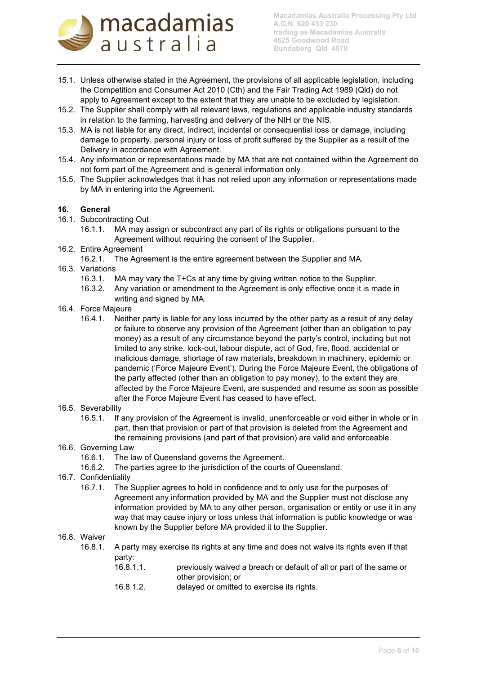

- 15.1. Unless otherwise stated in the Agreement, the provisions of all applicable legislation, including the Competition and Consumer Act 2010 (Cth) and the Fair Trading Act 1989 (Qld) do not apply to Agreement except to the extent that they are unable to be excluded by legislation.
- 15.2. The Supplier shall comply with all relevant laws, regulations and applicable industry standards in relation to the farming, harvesting and delivery of the NIH or the NIS.
- 15.3. MA is not liable for any direct, indirect, incidental or consequential loss or damage, including damage to property, personal injury or loss of profit suffered by the Supplier as a result of the Delivery in accordance with Agreement.
- 15.4. Any information or representations made by MA that are not contained within the Agreement do not form part of the Agreement and is general information only
- 15.5. The Supplier acknowledges that it has not relied upon any information or representations made by MA in entering into the Agreement.

#### **16. General**

- 16.1. Subcontracting Out
	- 16.1.1. MA may assign or subcontract any part of its rights or obligations pursuant to the Agreement without requiring the consent of the Supplier.
- 16.2. Entire Agreement
	- 16.2.1. The Agreement is the entire agreement between the Supplier and MA.
- 16.3. Variations
	- 16.3.1. MA may vary the T+Cs at any time by giving written notice to the Supplier.
	- 16.3.2. Any variation or amendment to the Agreement is only effective once it is made in writing and signed by MA.
- 16.4. Force Majeure
	- 16.4.1. Neither party is liable for any loss incurred by the other party as a result of any delay or failure to observe any provision of the Agreement (other than an obligation to pay money) as a result of any circumstance beyond the party's control, including but not limited to any strike, lock-out, labour dispute, act of God, fire, flood, accidental or malicious damage, shortage of raw materials, breakdown in machinery, epidemic or pandemic ('Force Majeure Event'). During the Force Majeure Event, the obligations of the party affected (other than an obligation to pay money), to the extent they are affected by the Force Majeure Event, are suspended and resume as soon as possible after the Force Majeure Event has ceased to have effect.
- 16.5. Severability
	- 16.5.1. If any provision of the Agreement is invalid, unenforceable or void either in whole or in part, then that provision or part of that provision is deleted from the Agreement and the remaining provisions (and part of that provision) are valid and enforceable.
- 16.6. Governing Law
	- 16.6.1. The law of Queensland governs the Agreement.
	- 16.6.2. The parties agree to the jurisdiction of the courts of Queensland.
- 16.7. Confidentiality
	- 16.7.1. The Supplier agrees to hold in confidence and to only use for the purposes of Agreement any information provided by MA and the Supplier must not disclose any information provided by MA to any other person, organisation or entity or use it in any way that may cause injury or loss unless that information is public knowledge or was known by the Supplier before MA provided it to the Supplier.

#### 16.8. Waiver

- 16.8.1. A party may exercise its rights at any time and does not waive its rights even if that party:<br>16.8.1.1
	- previously waived a breach or default of all or part of the same or other provision; or
	- 16.8.1.2. delayed or omitted to exercise its rights.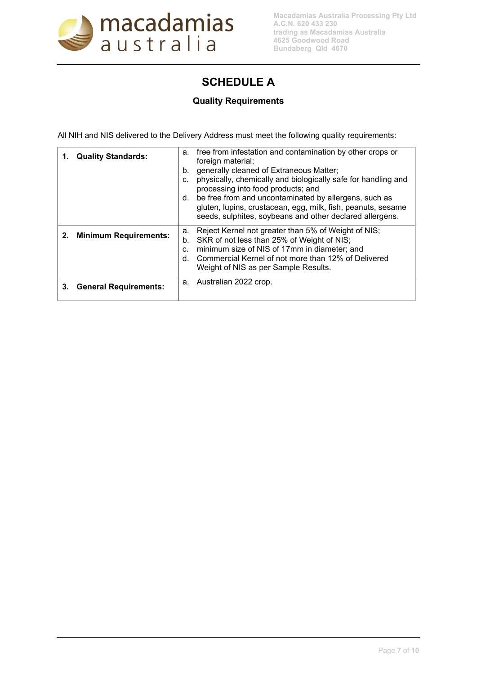

# **SCHEDULE A**

## **Quality Requirements**

All NIH and NIS delivered to the Delivery Address must meet the following quality requirements:

|    | <b>Quality Standards:</b>    | a. free from infestation and contamination by other crops or<br>foreign material;<br>generally cleaned of Extraneous Matter;<br>b.<br>physically, chemically and biologically safe for handling and<br>C.<br>processing into food products; and<br>be free from and uncontaminated by allergens, such as<br>d.<br>gluten, lupins, crustacean, egg, milk, fish, peanuts, sesame<br>seeds, sulphites, soybeans and other declared allergens. |
|----|------------------------------|--------------------------------------------------------------------------------------------------------------------------------------------------------------------------------------------------------------------------------------------------------------------------------------------------------------------------------------------------------------------------------------------------------------------------------------------|
|    | 2. Minimum Requirements:     | Reject Kernel not greater than 5% of Weight of NIS;<br>a.<br>SKR of not less than 25% of Weight of NIS;<br>b.<br>minimum size of NIS of 17mm in diameter; and<br>C.<br>Commercial Kernel of not more than 12% of Delivered<br>d.<br>Weight of NIS as per Sample Results.                                                                                                                                                                   |
| З. | <b>General Requirements:</b> | a. Australian 2022 crop.                                                                                                                                                                                                                                                                                                                                                                                                                   |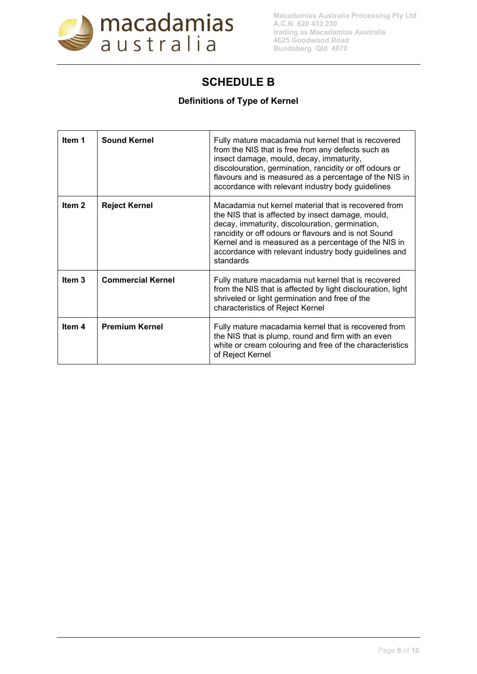

## **SCHEDULE B**

## **Definitions of Type of Kernel**

| Item 1            | <b>Sound Kernel</b>      | Fully mature macadamia nut kernel that is recovered<br>from the NIS that is free from any defects such as<br>insect damage, mould, decay, immaturity,<br>discolouration, germination, rancidity or off odours or<br>flavours and is measured as a percentage of the NIS in<br>accordance with relevant industry body guidelines                    |
|-------------------|--------------------------|----------------------------------------------------------------------------------------------------------------------------------------------------------------------------------------------------------------------------------------------------------------------------------------------------------------------------------------------------|
| Item 2            | <b>Reject Kernel</b>     | Macadamia nut kernel material that is recovered from<br>the NIS that is affected by insect damage, mould,<br>decay, immaturity, discolouration, germination,<br>rancidity or off odours or flavours and is not Sound<br>Kernel and is measured as a percentage of the NIS in<br>accordance with relevant industry body guidelines and<br>standards |
| Item <sub>3</sub> | <b>Commercial Kernel</b> | Fully mature macadamia nut kernel that is recovered<br>from the NIS that is affected by light disclouration, light<br>shriveled or light germination and free of the<br>characteristics of Reject Kernel                                                                                                                                           |
| Item 4            | <b>Premium Kernel</b>    | Fully mature macadamia kernel that is recovered from<br>the NIS that is plump, round and firm with an even<br>white or cream colouring and free of the characteristics<br>of Reject Kernel                                                                                                                                                         |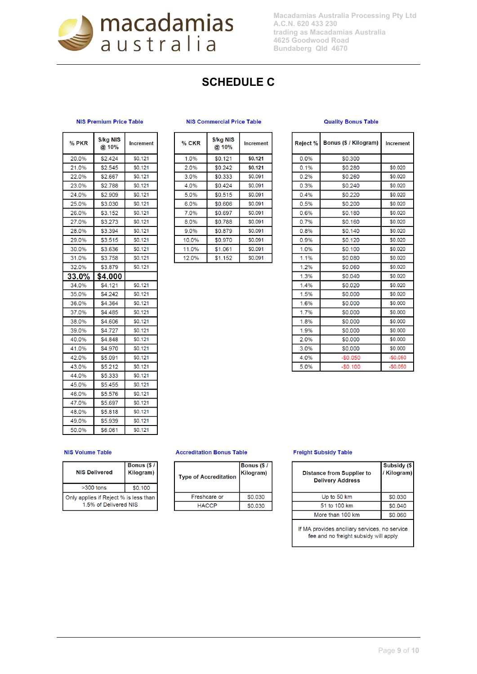

**Macadamias Australia Processing Pty Ltd A.C.N. 620 433 230 trading as Macadamias Australia 4625 Goodwood Road Bundaberg Qld 4670**

# **SCHEDULE C**

Ŧ

#### **NIS Premium Price Table**

| % PKR            | \$/kg NIS<br>@10% | Increment |
|------------------|-------------------|-----------|
| 20.0%            | \$2.424           | \$0.121   |
| 21.0%            | \$2.545           | \$0.121   |
| 22.0%            | \$2.667           | \$0.121   |
| 23.0%            | \$2.788           | \$0.121   |
| 24.0%            | \$2.909           | \$0.121   |
| 25.0%            | \$3.030           | \$0.121   |
| 26.0%            | \$3.152           | \$0.121   |
| 27.0%            | \$3.273           | \$0.121   |
| 28.0%            | \$3.394           | \$0.121   |
| 29.0%            | \$3.515           | \$0.121   |
| 30.0%            | \$3.636           | \$0.121   |
| 31.0%            | \$3.758           | \$0.121   |
| 32.0%            | \$3.879           | \$0.121   |
| 33.0%            | \$4.000           |           |
| 34.0%            | \$4.121           | \$0.121   |
| 35.0%            | \$4.242           | \$0.121   |
| 36.0%            | \$4.364           | \$0.121   |
| 37.0%            | \$4,485           | \$0.121   |
| 38.0%            | \$4.606           | \$0.121   |
| 39.0%            | \$4.727           | \$0.121   |
| 40.0%            | \$4.848           | \$0.121   |
| 41.0%            | \$4,970           | \$0.121   |
| 42.0%            | \$5.091           | \$0.121   |
| 43.0%            | \$5.212           | \$0.121   |
| 44.0%            | \$5.333           | \$0.121   |
| 45.0%            | \$5.455           | \$0.121   |
| 46.0%            | \$5.576           | \$0.121   |
| 47.0%            | \$5.697           | \$0.121   |
| 48.0%            | \$5.818           | \$0.121   |
| 49.0%            | \$5.939           | \$0.121   |
| 50.0%<br>\$6.061 |                   | \$0.121   |

#### **NIS Commercial Price Table**

 $\overline{ }$ 

| % CKR   | \$/kg NIS<br>@ 10% | <b>Increment</b> |
|---------|--------------------|------------------|
| 1.0%    | \$0.121            | \$0.121          |
| $2.0\%$ | \$0.242            | \$0.121          |
| 3.0%    | \$0.333            | \$0.091          |
| 4.0%    | \$0.424            | \$0.091          |
| 5.0%    | \$0.515            | \$0.091          |
| 6.0%    | \$0.606            | \$0.091          |
| 7.0%    | \$0.697            | \$0.091          |
| 8.0%    | \$0.788            | \$0.091          |
| 9.0%    | \$0.879            | \$0.091          |
| 10.0%   | \$0.970            | \$0.091          |
| 11.0%   | \$1.061            | \$0.091          |
| 12.0%   | \$1.152            | \$0.091          |

#### **Quality Bonus Table**

| Reject %        | Bonus (\$ / Kilogram) | <b>Increment</b> |  |
|-----------------|-----------------------|------------------|--|
| 0.0%            | \$0.300               |                  |  |
| 0.1%            | \$0.280               | \$0.020          |  |
| 0.2%            | \$0.260               | \$0.020          |  |
| 0.3%            | \$0.240               | \$0.020          |  |
| 0.4%            | \$0.220               | \$0.020          |  |
| 0.5%            | \$0.200               | \$0.020          |  |
| 0.6%            | \$0.180               | \$0.020          |  |
| 0.7%            | \$0.160               | \$0.020          |  |
| 0.8%            | \$0.140               | \$0.020          |  |
| 0.9%            | \$0.120               | \$0.020          |  |
| 1.0%            | \$0.100               | \$0.020          |  |
| 1.1%            | \$0.080               | \$0.020          |  |
| 1.2%            | \$0.060               | \$0.020          |  |
| 1.3%            | \$0.040               | \$0.020          |  |
| 1.4%            | \$0.020               | \$0.020          |  |
| 1.5%            | \$0.000               | \$0.020          |  |
| 1.6%            | \$0.000               | \$0.000          |  |
| 1.7%            | \$0.000               | \$0.000          |  |
| 1.8%            | \$0.000               | \$0.000          |  |
| 1.9%<br>\$0.000 |                       | \$0.000          |  |
| 2.0%            | \$0.000               |                  |  |
| 3.0%            | \$0.000               |                  |  |
| 4.0%            | $-$0.050$             | $-$0.050$        |  |
| 5.0%            | $-$0.100$             | $-$0.050$        |  |

#### **NIS Volume Table**

| <b>NIS Delivered</b>                                           | Bonus (\$/<br>Kilogram) |
|----------------------------------------------------------------|-------------------------|
| $>300$ tons                                                    | \$0.100                 |
| Only applies if Reject % is less than<br>1.5% of Delivered NIS |                         |

#### **Accreditation Bonus Table**

| <b>Type of Accreditation</b> | Bonus (\$/<br>Kilogram) |
|------------------------------|-------------------------|
| Freshcare or                 | \$0.030                 |
| <b>HACCP</b>                 | \$0.030                 |

#### **Freight Subsidy Table**

| <b>Distance from Supplier to</b><br><b>Delivery Address</b> | Subsidy (\$<br>/Kilogram) |
|-------------------------------------------------------------|---------------------------|
| Up to 50 km                                                 | \$0.030                   |
| 51 to 100 km                                                | \$0.040                   |
| More than 100 km                                            | \$0.060                   |
|                                                             |                           |

If MA provides anciliary services, no service fee and no freight subsidy will apply